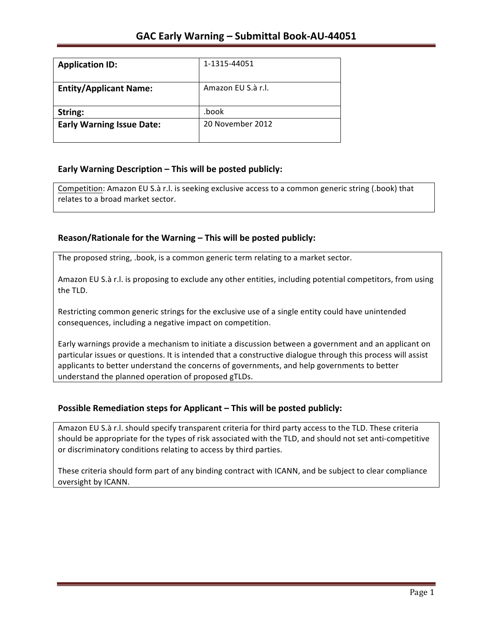| <b>Application ID:</b>           | 1-1315-44051       |
|----------------------------------|--------------------|
| <b>Entity/Applicant Name:</b>    | Amazon EU S.à r.l. |
| String:                          | .book              |
| <b>Early Warning Issue Date:</b> | 20 November 2012   |
|                                  |                    |

## **Early Warning Description – This will be posted publicly:**

Competition: Amazon EU S.à r.l. is seeking exclusive access to a common generic string (.book) that relates to a broad market sector.

## Reason/Rationale for the Warning – This will be posted publicly:

The proposed string, .book, is a common generic term relating to a market sector.

Amazon EU S.à r.l. is proposing to exclude any other entities, including potential competitors, from using the TLD.

Restricting common generic strings for the exclusive use of a single entity could have unintended consequences, including a negative impact on competition.

Early warnings provide a mechanism to initiate a discussion between a government and an applicant on particular issues or questions. It is intended that a constructive dialogue through this process will assist applicants to better understand the concerns of governments, and help governments to better understand the planned operation of proposed gTLDs.

### **Possible Remediation steps for Applicant – This will be posted publicly:**

Amazon EU S.à r.l. should specify transparent criteria for third party access to the TLD. These criteria should be appropriate for the types of risk associated with the TLD, and should not set anti-competitive or discriminatory conditions relating to access by third parties.

These criteria should form part of any binding contract with ICANN, and be subject to clear compliance oversight by ICANN.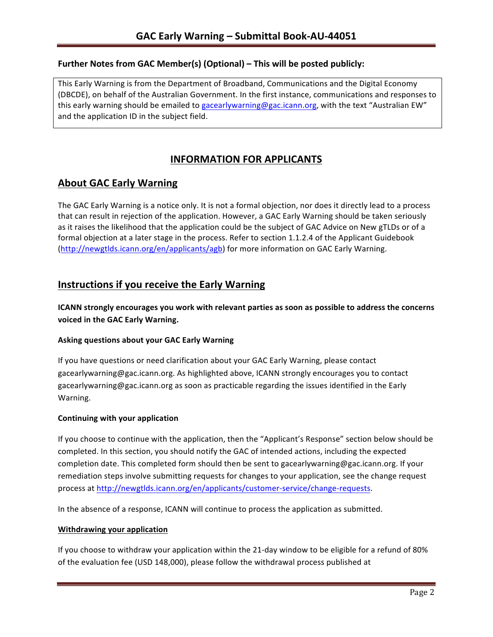### **Further Notes from GAC Member(s) (Optional) – This will be posted publicly:**

This Early Warning is from the Department of Broadband, Communications and the Digital Economy (DBCDE), on behalf of the Australian Government. In the first instance, communications and responses to this early warning should be emailed to gacearlywarning@gac.icann.org, with the text "Australian EW" and the application ID in the subject field.

# **INFORMATION FOR APPLICANTS**

## **About GAC Early Warning**

The GAC Early Warning is a notice only. It is not a formal objection, nor does it directly lead to a process that can result in rejection of the application. However, a GAC Early Warning should be taken seriously as it raises the likelihood that the application could be the subject of GAC Advice on New gTLDs or of a formal objection at a later stage in the process. Refer to section 1.1.2.4 of the Applicant Guidebook (http://newgtlds.icann.org/en/applicants/agb) for more information on GAC Early Warning.

## **Instructions if you receive the Early Warning**

**ICANN** strongly encourages you work with relevant parties as soon as possible to address the concerns **voiced in the GAC Early Warning.** 

#### **Asking questions about your GAC Early Warning**

If you have questions or need clarification about your GAC Early Warning, please contact gacearlywarning@gac.icann.org. As highlighted above, ICANN strongly encourages you to contact gacearlywarning@gac.icann.org as soon as practicable regarding the issues identified in the Early Warning. 

#### **Continuing with your application**

If you choose to continue with the application, then the "Applicant's Response" section below should be completed. In this section, you should notify the GAC of intended actions, including the expected completion date. This completed form should then be sent to gacearlywarning@gac.icann.org. If your remediation steps involve submitting requests for changes to your application, see the change request process at http://newgtlds.icann.org/en/applicants/customer-service/change-requests.

In the absence of a response, ICANN will continue to process the application as submitted.

#### **Withdrawing your application**

If you choose to withdraw your application within the 21-day window to be eligible for a refund of 80% of the evaluation fee (USD 148,000), please follow the withdrawal process published at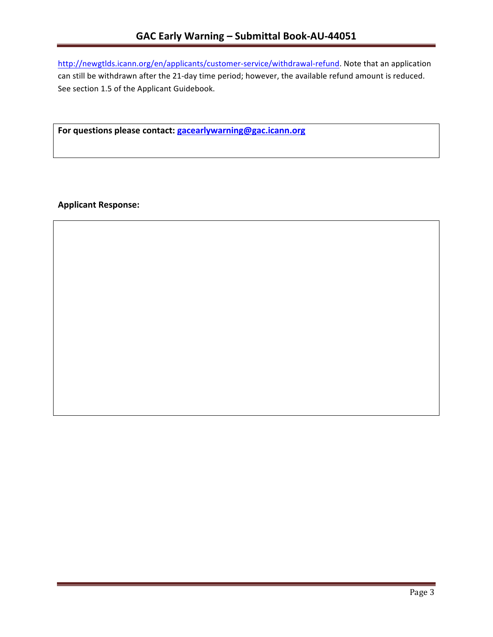http://newgtlds.icann.org/en/applicants/customer-service/withdrawal-refund. Note that an application can still be withdrawn after the 21-day time period; however, the available refund amount is reduced. See section 1.5 of the Applicant Guidebook.

For questions please contact: gacearlywarning@gac.icann.org

**Applicant Response:**